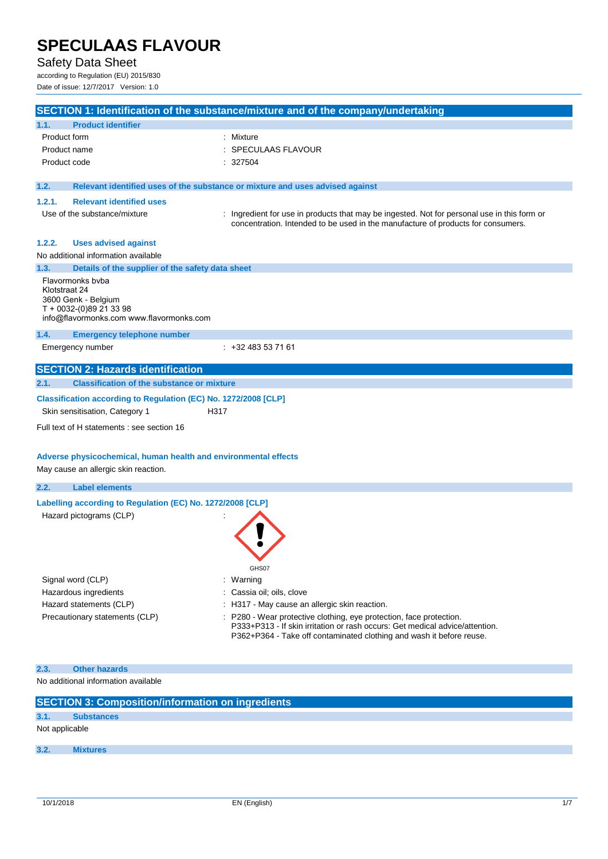## Safety Data Sheet

according to Regulation (EU) 2015/830 Date of issue: 12/7/2017 Version: 1.0

|                                                                                                         |                                                                                                                | SECTION 1: Identification of the substance/mixture and of the company/undertaking                                                                                                                                         |  |
|---------------------------------------------------------------------------------------------------------|----------------------------------------------------------------------------------------------------------------|---------------------------------------------------------------------------------------------------------------------------------------------------------------------------------------------------------------------------|--|
| 1.1.                                                                                                    | <b>Product identifier</b>                                                                                      |                                                                                                                                                                                                                           |  |
| Product form                                                                                            |                                                                                                                | Mixture                                                                                                                                                                                                                   |  |
| Product name                                                                                            |                                                                                                                | SPECULAAS FLAVOUR                                                                                                                                                                                                         |  |
| Product code                                                                                            |                                                                                                                | 327504                                                                                                                                                                                                                    |  |
|                                                                                                         |                                                                                                                |                                                                                                                                                                                                                           |  |
| 1.2.                                                                                                    |                                                                                                                | Relevant identified uses of the substance or mixture and uses advised against                                                                                                                                             |  |
| 1.2.1.                                                                                                  | <b>Relevant identified uses</b>                                                                                |                                                                                                                                                                                                                           |  |
|                                                                                                         | Use of the substance/mixture                                                                                   | : Ingredient for use in products that may be ingested. Not for personal use in this form or<br>concentration. Intended to be used in the manufacture of products for consumers.                                           |  |
| 1.2.2.                                                                                                  | <b>Uses advised against</b>                                                                                    |                                                                                                                                                                                                                           |  |
|                                                                                                         | No additional information available                                                                            |                                                                                                                                                                                                                           |  |
| 1.3.                                                                                                    | Details of the supplier of the safety data sheet                                                               |                                                                                                                                                                                                                           |  |
| Klotstraat 24                                                                                           | Flavormonks bvba<br>3600 Genk - Belgium<br>T + 0032-(0)89 21 33 98<br>info@flavormonks.com www.flavormonks.com |                                                                                                                                                                                                                           |  |
| 1.4.                                                                                                    | <b>Emergency telephone number</b>                                                                              |                                                                                                                                                                                                                           |  |
|                                                                                                         | Emergency number                                                                                               | $: +32483537161$                                                                                                                                                                                                          |  |
|                                                                                                         | <b>SECTION 2: Hazards identification</b>                                                                       |                                                                                                                                                                                                                           |  |
| 2.1.                                                                                                    | <b>Classification of the substance or mixture</b>                                                              |                                                                                                                                                                                                                           |  |
|                                                                                                         | Classification according to Regulation (EC) No. 1272/2008 [CLP]<br>Skin sensitisation, Category 1<br>H317      |                                                                                                                                                                                                                           |  |
|                                                                                                         | Full text of H statements : see section 16                                                                     |                                                                                                                                                                                                                           |  |
| Adverse physicochemical, human health and environmental effects<br>May cause an allergic skin reaction. |                                                                                                                |                                                                                                                                                                                                                           |  |
| 2.2.                                                                                                    | <b>Label elements</b>                                                                                          |                                                                                                                                                                                                                           |  |
|                                                                                                         | Labelling according to Regulation (EC) No. 1272/2008 [CLP]<br>Hazard pictograms (CLP)                          | GHS07                                                                                                                                                                                                                     |  |
|                                                                                                         | Signal word (CLP)                                                                                              | Warning                                                                                                                                                                                                                   |  |
|                                                                                                         | Hazardous ingredients                                                                                          | Cassia oil; oils, clove                                                                                                                                                                                                   |  |
|                                                                                                         | Hazard statements (CLP)                                                                                        | H317 - May cause an allergic skin reaction.                                                                                                                                                                               |  |
|                                                                                                         | Precautionary statements (CLP)                                                                                 | P280 - Wear protective clothing, eye protection, face protection.<br>P333+P313 - If skin irritation or rash occurs: Get medical advice/attention.<br>P362+P364 - Take off contaminated clothing and wash it before reuse. |  |
| 2.3.                                                                                                    | <b>Other hazards</b>                                                                                           |                                                                                                                                                                                                                           |  |
|                                                                                                         | No additional information available                                                                            |                                                                                                                                                                                                                           |  |
|                                                                                                         | <b>SECTION 3: Composition/information on ingredients</b>                                                       |                                                                                                                                                                                                                           |  |
|                                                                                                         |                                                                                                                |                                                                                                                                                                                                                           |  |

## **3.1. Substances** Not applicable

## **3.2. Mixtures**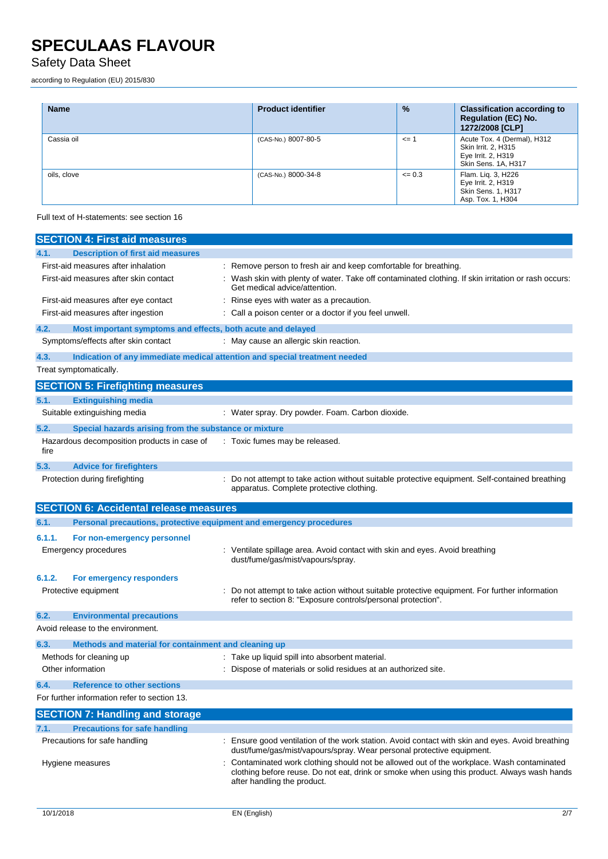## Safety Data Sheet

according to Regulation (EU) 2015/830

| <b>Name</b> | <b>Product identifier</b> | %          | <b>Classification according to</b><br><b>Regulation (EC) No.</b><br>1272/2008 [CLP]             |
|-------------|---------------------------|------------|-------------------------------------------------------------------------------------------------|
| Cassia oil  | (CAS-No.) 8007-80-5       | $\leq$ 1   | Acute Tox. 4 (Dermal), H312<br>Skin Irrit. 2, H315<br>Eye Irrit. 2, H319<br>Skin Sens. 1A, H317 |
| oils, clove | (CAS-No.) 8000-34-8       | $\leq 0.3$ | Flam. Lig. 3, H226<br>Eye Irrit. 2, H319<br>Skin Sens. 1, H317<br>Asp. Tox. 1, H304             |

Full text of H-statements: see section 16

| <b>SECTION 4: First aid measures</b>                                        |                                                                                                                                                                                                                         |
|-----------------------------------------------------------------------------|-------------------------------------------------------------------------------------------------------------------------------------------------------------------------------------------------------------------------|
| <b>Description of first aid measures</b><br>4.1.                            |                                                                                                                                                                                                                         |
| First-aid measures after inhalation                                         | : Remove person to fresh air and keep comfortable for breathing.                                                                                                                                                        |
| First-aid measures after skin contact                                       | : Wash skin with plenty of water. Take off contaminated clothing. If skin irritation or rash occurs:<br>Get medical advice/attention.                                                                                   |
| First-aid measures after eye contact                                        | Rinse eyes with water as a precaution.                                                                                                                                                                                  |
| First-aid measures after ingestion                                          | : Call a poison center or a doctor if you feel unwell.                                                                                                                                                                  |
| 4.2.<br>Most important symptoms and effects, both acute and delayed         |                                                                                                                                                                                                                         |
| Symptoms/effects after skin contact                                         | : May cause an allergic skin reaction.                                                                                                                                                                                  |
| 4.3.                                                                        | Indication of any immediate medical attention and special treatment needed                                                                                                                                              |
| Treat symptomatically.                                                      |                                                                                                                                                                                                                         |
| <b>SECTION 5: Firefighting measures</b>                                     |                                                                                                                                                                                                                         |
| <b>Extinguishing media</b><br>5.1.                                          |                                                                                                                                                                                                                         |
| Suitable extinguishing media                                                | : Water spray. Dry powder. Foam. Carbon dioxide.                                                                                                                                                                        |
| 5.2.<br>Special hazards arising from the substance or mixture               |                                                                                                                                                                                                                         |
| Hazardous decomposition products in case of                                 | : Toxic fumes may be released.                                                                                                                                                                                          |
| fire                                                                        |                                                                                                                                                                                                                         |
| 5.3.<br><b>Advice for firefighters</b>                                      |                                                                                                                                                                                                                         |
| Protection during firefighting                                              | Do not attempt to take action without suitable protective equipment. Self-contained breathing<br>apparatus. Complete protective clothing.                                                                               |
| <b>SECTION 6: Accidental release measures</b>                               |                                                                                                                                                                                                                         |
| Personal precautions, protective equipment and emergency procedures<br>6.1. |                                                                                                                                                                                                                         |
| 6.1.1.                                                                      |                                                                                                                                                                                                                         |
| For non-emergency personnel<br>Emergency procedures                         | : Ventilate spillage area. Avoid contact with skin and eyes. Avoid breathing<br>dust/fume/gas/mist/vapours/spray.                                                                                                       |
| 6.1.2.<br>For emergency responders                                          |                                                                                                                                                                                                                         |
| Protective equipment                                                        | Do not attempt to take action without suitable protective equipment. For further information<br>refer to section 8: "Exposure controls/personal protection".                                                            |
| 6.2.<br><b>Environmental precautions</b>                                    |                                                                                                                                                                                                                         |
| Avoid release to the environment.                                           |                                                                                                                                                                                                                         |
| 6.3.<br>Methods and material for containment and cleaning up                |                                                                                                                                                                                                                         |
| Methods for cleaning up                                                     | : Take up liquid spill into absorbent material.                                                                                                                                                                         |
| Other information                                                           | Dispose of materials or solid residues at an authorized site.                                                                                                                                                           |
| 6.4.<br><b>Reference to other sections</b>                                  |                                                                                                                                                                                                                         |
| For further information refer to section 13.                                |                                                                                                                                                                                                                         |
| <b>SECTION 7: Handling and storage</b>                                      |                                                                                                                                                                                                                         |
| <b>Precautions for safe handling</b><br>7.1.                                |                                                                                                                                                                                                                         |
| Precautions for safe handling                                               | : Ensure good ventilation of the work station. Avoid contact with skin and eyes. Avoid breathing<br>dust/fume/gas/mist/vapours/spray. Wear personal protective equipment.                                               |
| Hygiene measures                                                            | Contaminated work clothing should not be allowed out of the workplace. Wash contaminated<br>clothing before reuse. Do not eat, drink or smoke when using this product. Always wash hands<br>after handling the product. |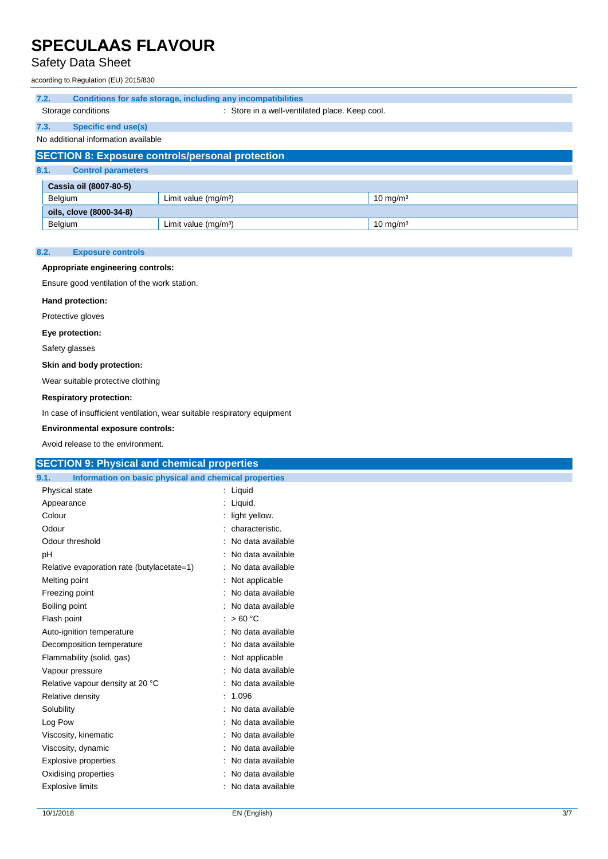## Safety Data Sheet

according to Regulation (EU) 2015/830

| 7.2.                                                    | Conditions for safe storage, including any incompatibilities |                                                |                     |
|---------------------------------------------------------|--------------------------------------------------------------|------------------------------------------------|---------------------|
|                                                         | Storage conditions                                           | : Store in a well-ventilated place. Keep cool. |                     |
| 7.3.                                                    | <b>Specific end use(s)</b>                                   |                                                |                     |
|                                                         | No additional information available                          |                                                |                     |
| <b>SECTION 8: Exposure controls/personal protection</b> |                                                              |                                                |                     |
| 8.1.<br><b>Control parameters</b>                       |                                                              |                                                |                     |
|                                                         | Cassia oil (8007-80-5)                                       |                                                |                     |
|                                                         | Belgium                                                      | Limit value $(mg/m3)$                          | $10 \text{ mg/m}^3$ |
|                                                         | oils, clove (8000-34-8)                                      |                                                |                     |
|                                                         | Belgium                                                      | Limit value $(mq/m3)$                          | $10 \text{ mg/m}^3$ |

### **8.2. Exposure controls**

### **Appropriate engineering controls:**

Ensure good ventilation of the work station.

#### **Hand protection:**

Protective gloves

### **Eye protection:**

Safety glasses

### **Skin and body protection:**

Wear suitable protective clothing

#### **Respiratory protection:**

In case of insufficient ventilation, wear suitable respiratory equipment

### **Environmental exposure controls:**

Avoid release to the environment.

| <b>SECTION 9: Physical and chemical properties</b>            |                     |  |  |
|---------------------------------------------------------------|---------------------|--|--|
| Information on basic physical and chemical properties<br>9.1. |                     |  |  |
| Physical state                                                | : Liquid            |  |  |
| Appearance                                                    | : Liquid.           |  |  |
| Colour                                                        | light yellow.       |  |  |
| Odour                                                         | characteristic.     |  |  |
| Odour threshold                                               | No data available   |  |  |
| pH                                                            | No data available   |  |  |
| Relative evaporation rate (butylacetate=1)                    | : No data available |  |  |
| Melting point                                                 | Not applicable      |  |  |
| Freezing point                                                | No data available   |  |  |
| Boiling point                                                 | No data available   |  |  |
| Flash point                                                   | : $>60^{\circ}$ C   |  |  |
| Auto-ignition temperature                                     | No data available   |  |  |
| Decomposition temperature                                     | No data available   |  |  |
| Flammability (solid, gas)                                     | Not applicable      |  |  |
| Vapour pressure                                               | No data available   |  |  |
| Relative vapour density at 20 °C                              | No data available   |  |  |
| Relative density                                              | 1.096               |  |  |
| Solubility                                                    | No data available   |  |  |
| Log Pow                                                       | No data available   |  |  |
| Viscosity, kinematic                                          | No data available   |  |  |
| Viscosity, dynamic                                            | No data available   |  |  |
| Explosive properties                                          | No data available   |  |  |
| Oxidising properties                                          | No data available   |  |  |
| <b>Explosive limits</b>                                       | No data available   |  |  |
|                                                               |                     |  |  |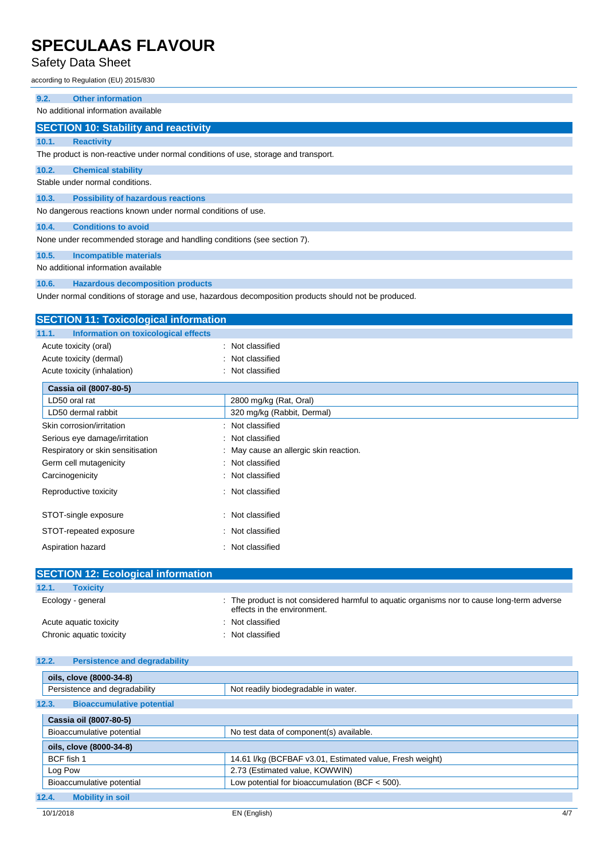## Safety Data Sheet

according to Regulation (EU) 2015/830

| <b>Other information</b><br>9.2.                                                   |  |  |
|------------------------------------------------------------------------------------|--|--|
| No additional information available                                                |  |  |
| <b>SECTION 10: Stability and reactivity</b>                                        |  |  |
| 10.1.<br><b>Reactivity</b>                                                         |  |  |
| The product is non-reactive under normal conditions of use, storage and transport. |  |  |
| 10.2.<br><b>Chemical stability</b>                                                 |  |  |
| Stable under normal conditions.                                                    |  |  |
| <b>Possibility of hazardous reactions</b><br>10.3.                                 |  |  |
| No dangerous reactions known under normal conditions of use.                       |  |  |
| <b>Conditions to avoid</b><br>10.4.                                                |  |  |
| None under recommended storage and handling conditions (see section 7).            |  |  |
| 10.5.<br><b>Incompatible materials</b>                                             |  |  |
| No additional information available                                                |  |  |

#### **10.6. Hazardous decomposition products**

Under normal conditions of storage and use, hazardous decomposition products should not be produced.

| <b>SECTION 11: Toxicological information</b>  |                                        |  |
|-----------------------------------------------|----------------------------------------|--|
| Information on toxicological effects<br>11.1. |                                        |  |
| Acute toxicity (oral)                         | : Not classified                       |  |
| Acute toxicity (dermal)                       | : Not classified                       |  |
| Acute toxicity (inhalation)                   | : Not classified                       |  |
| Cassia oil (8007-80-5)                        |                                        |  |
| LD50 oral rat                                 | 2800 mg/kg (Rat, Oral)                 |  |
| LD50 dermal rabbit                            | 320 mg/kg (Rabbit, Dermal)             |  |
| Skin corrosion/irritation                     | : Not classified                       |  |
| Serious eye damage/irritation                 | : Not classified                       |  |
| Respiratory or skin sensitisation             | : May cause an allergic skin reaction. |  |
| Germ cell mutagenicity                        | : Not classified                       |  |
| Carcinogenicity                               | : Not classified                       |  |
| Reproductive toxicity                         | : Not classified                       |  |
| STOT-single exposure                          | : Not classified                       |  |
| STOT-repeated exposure                        | : Not classified                       |  |
| Aspiration hazard                             | : Not classified                       |  |

| <b>SECTION 12: Ecological information</b> |                                                                                                                            |  |  |
|-------------------------------------------|----------------------------------------------------------------------------------------------------------------------------|--|--|
| 12.1.<br><b>Toxicity</b>                  |                                                                                                                            |  |  |
| Ecology - general                         | : The product is not considered harmful to aquatic organisms nor to cause long-term adverse<br>effects in the environment. |  |  |
| Acute aquatic toxicity                    | : Not classified                                                                                                           |  |  |
| Chronic aquatic toxicity                  | : Not classified                                                                                                           |  |  |

## **12.2. Persistence and degradability**

| oils, clove (8000-34-8)                   |                                                          |  |
|-------------------------------------------|----------------------------------------------------------|--|
| Persistence and degradability             | Not readily biodegradable in water.                      |  |
| <b>Bioaccumulative potential</b><br>12.3. |                                                          |  |
| Cassia oil (8007-80-5)                    |                                                          |  |
| Bioaccumulative potential                 | No test data of component(s) available.                  |  |
| oils, clove (8000-34-8)                   |                                                          |  |
| BCF fish 1                                | 14.61 I/kg (BCFBAF v3.01, Estimated value, Fresh weight) |  |
| Log Pow                                   | 2.73 (Estimated value, KOWWIN)                           |  |
| Bioaccumulative potential                 | Low potential for bioaccumulation (BCF $<$ 500).         |  |
| 12.4.<br><b>Mobility in soil</b>          |                                                          |  |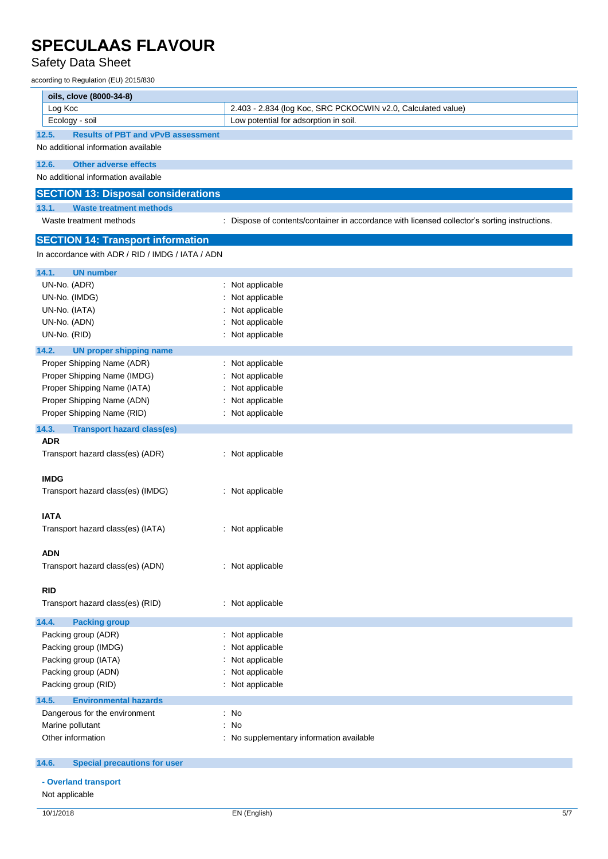## Safety Data Sheet

according to Regulation (EU) 2015/830

| oils, clove (8000-34-8)                            |                                                                                               |
|----------------------------------------------------|-----------------------------------------------------------------------------------------------|
| Log Koc                                            | 2.403 - 2.834 (log Koc, SRC PCKOCWIN v2.0, Calculated value)                                  |
| Ecology - soil                                     | Low potential for adsorption in soil.                                                         |
| <b>Results of PBT and vPvB assessment</b><br>12.5. |                                                                                               |
| No additional information available                |                                                                                               |
| 12.6.<br><b>Other adverse effects</b>              |                                                                                               |
| No additional information available                |                                                                                               |
| <b>SECTION 13: Disposal considerations</b>         |                                                                                               |
| <b>Waste treatment methods</b><br>13.1.            |                                                                                               |
| Waste treatment methods                            | : Dispose of contents/container in accordance with licensed collector's sorting instructions. |
| <b>SECTION 14: Transport information</b>           |                                                                                               |
| In accordance with ADR / RID / IMDG / IATA / ADN   |                                                                                               |
| 14.1.<br><b>UN number</b>                          |                                                                                               |
| UN-No. (ADR)                                       | : Not applicable                                                                              |
| UN-No. (IMDG)                                      | : Not applicable                                                                              |
| UN-No. (IATA)                                      | Not applicable                                                                                |
| UN-No. (ADN)                                       | Not applicable                                                                                |
| UN-No. (RID)                                       | : Not applicable                                                                              |
| 14.2.<br><b>UN proper shipping name</b>            |                                                                                               |
| Proper Shipping Name (ADR)                         | : Not applicable                                                                              |
| Proper Shipping Name (IMDG)                        | : Not applicable                                                                              |
| Proper Shipping Name (IATA)                        | : Not applicable                                                                              |
| Proper Shipping Name (ADN)                         | : Not applicable                                                                              |
| Proper Shipping Name (RID)                         | : Not applicable                                                                              |
| 14.3.<br><b>Transport hazard class(es)</b>         |                                                                                               |
| <b>ADR</b>                                         |                                                                                               |
| Transport hazard class(es) (ADR)                   | : Not applicable                                                                              |
| <b>IMDG</b>                                        |                                                                                               |
| Transport hazard class(es) (IMDG)                  | : Not applicable                                                                              |
| <b>IATA</b>                                        |                                                                                               |
| Transport hazard class(es) (IATA)                  | : Not applicable                                                                              |
|                                                    |                                                                                               |
| <b>ADN</b>                                         |                                                                                               |
| Transport hazard class(es) (ADN)                   | : Not applicable                                                                              |
|                                                    |                                                                                               |
| <b>RID</b>                                         |                                                                                               |
| Transport hazard class(es) (RID)                   | : Not applicable                                                                              |
| 14.4.<br><b>Packing group</b>                      |                                                                                               |
| Packing group (ADR)                                | : Not applicable                                                                              |
| Packing group (IMDG)                               | Not applicable                                                                                |
| Packing group (IATA)                               | Not applicable                                                                                |
| Packing group (ADN)                                | : Not applicable                                                                              |
| Packing group (RID)                                | : Not applicable                                                                              |
| 14.5.<br><b>Environmental hazards</b>              |                                                                                               |
| Dangerous for the environment                      | : No                                                                                          |
| Marine pollutant                                   | : No                                                                                          |
| Other information                                  | : No supplementary information available                                                      |
| 14.6.<br><b>Special precautions for user</b>       |                                                                                               |
|                                                    |                                                                                               |
| - Overland transport<br>Not applicable             |                                                                                               |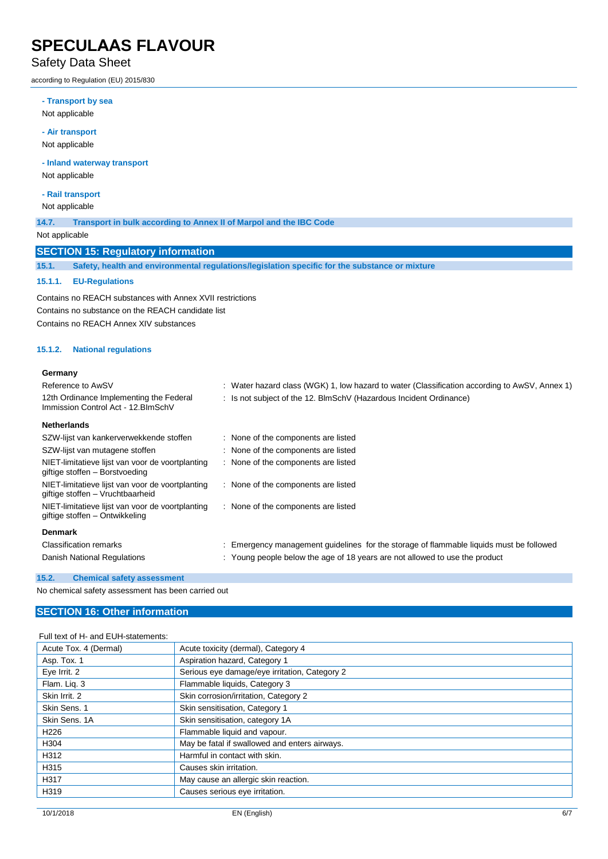## Safety Data Sheet

according to Regulation (EU) 2015/830

**- Transport by sea** Not applicable

**- Air transport**

Not applicable

**- Inland waterway transport** Not applicable

**- Rail transport** Not applicable

**14.7. Transport in bulk according to Annex II of Marpol and the IBC Code**

Not applicable

## **SECTION 15: Regulatory information**

**15.1. Safety, health and environmental regulations/legislation specific for the substance or mixture**

#### **15.1.1. EU-Regulations**

Contains no REACH substances with Annex XVII restrictions Contains no substance on the REACH candidate list Contains no REACH Annex XIV substances

#### **15.1.2. National regulations**

#### **Germany**

| Reference to AwSV                                                                    | : Water hazard class (WGK) 1, low hazard to water (Classification according to AwSV, Annex 1) |
|--------------------------------------------------------------------------------------|-----------------------------------------------------------------------------------------------|
| 12th Ordinance Implementing the Federal<br>Immission Control Act - 12. BlmSchV       | : Is not subject of the 12. BlmSchV (Hazardous Incident Ordinance)                            |
| <b>Netherlands</b>                                                                   |                                                                                               |
| SZW-lijst van kankerverwekkende stoffen                                              | : None of the components are listed                                                           |
| SZW-lijst van mutagene stoffen                                                       | : None of the components are listed                                                           |
| NIET-limitatieve lijst van voor de voortplanting<br>giftige stoffen - Borstvoeding   | : None of the components are listed                                                           |
| NIET-limitatieve lijst van voor de voortplanting<br>giftige stoffen - Vruchtbaarheid | : None of the components are listed                                                           |
| NIET-limitatieve lijst van voor de voortplanting<br>giftige stoffen - Ontwikkeling   | : None of the components are listed                                                           |
| <b>Denmark</b>                                                                       |                                                                                               |
| <b>Classification remarks</b>                                                        | Emergency management guidelines for the storage of flammable liquids must be followed         |
| Danish National Regulations                                                          | : Young people below the age of 18 years are not allowed to use the product                   |

### **15.2. Chemical safety assessment**

No chemical safety assessment has been carried out

## **SECTION 16: Other information**

## Full text of H- and EUH-statements:

| Acute Tox. 4 (Dermal) | Acute toxicity (dermal), Category 4           |
|-----------------------|-----------------------------------------------|
| Asp. Tox. 1           | Aspiration hazard, Category 1                 |
| Eye Irrit. 2          | Serious eye damage/eye irritation, Category 2 |
| Flam. Lig. 3          | Flammable liquids, Category 3                 |
| Skin Irrit. 2         | Skin corrosion/irritation, Category 2         |
| Skin Sens. 1          | Skin sensitisation, Category 1                |
| Skin Sens, 1A         | Skin sensitisation, category 1A               |
| H <sub>226</sub>      | Flammable liquid and vapour.                  |
| H304                  | May be fatal if swallowed and enters airways. |
| H312                  | Harmful in contact with skin.                 |
| H315                  | Causes skin irritation.                       |
| H317                  | May cause an allergic skin reaction.          |
| H319                  | Causes serious eye irritation.                |
|                       |                                               |